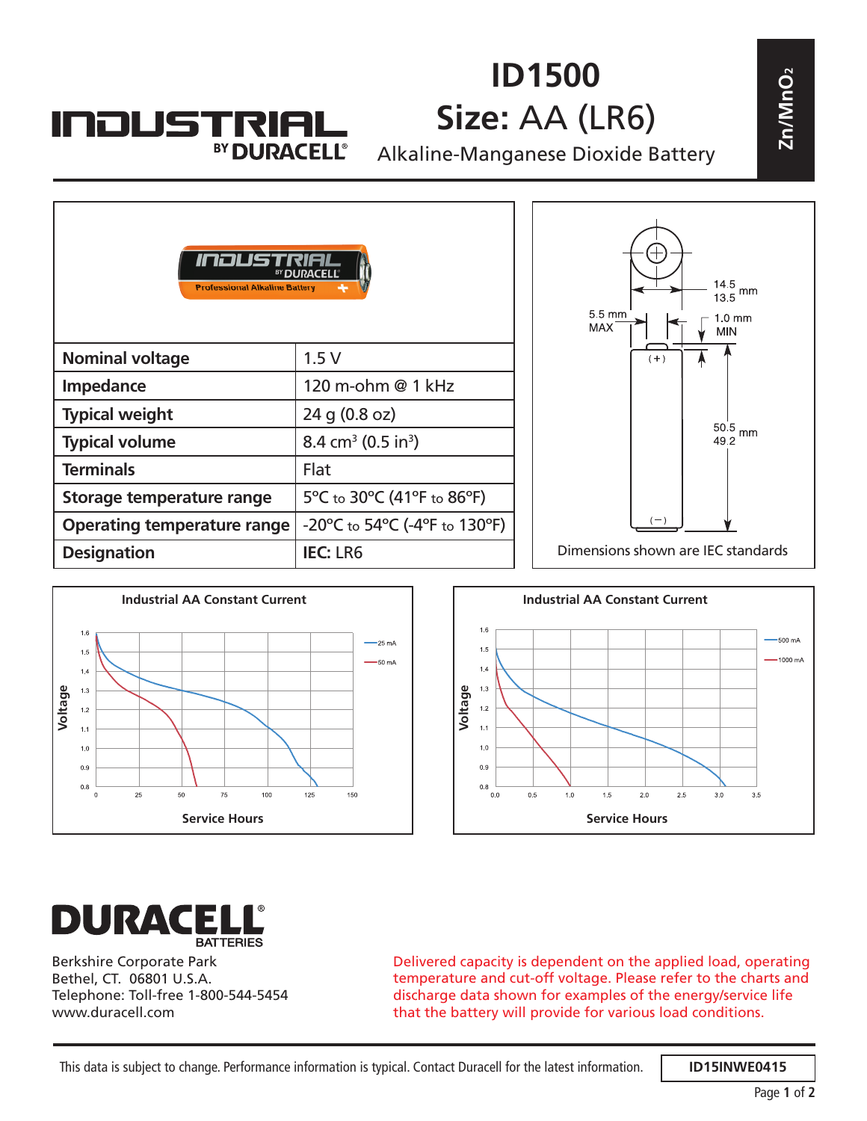## **INDUSTRIA** BY DURACELL®

## **ID1500 Size:** AA (LR6)

| ID1500<br>Size: AA (LR6)<br><b>INDUSTRIAL</b><br>BY DURACELL®<br>Alkaline-Manganese Dioxide Battery |                                                                          |  |                                                                                  |
|-----------------------------------------------------------------------------------------------------|--------------------------------------------------------------------------|--|----------------------------------------------------------------------------------|
| INOUS<br><b>Professional Alkaline Battery</b>                                                       | <sup>BY</sup> DI IDACEL I'                                               |  | $13.5$ <sup>o</sup> mm<br>5.5 mm<br>$1.0 \text{ mm}$<br><b>MAX</b><br><b>MIN</b> |
| <b>Nominal voltage</b>                                                                              | 1.5V                                                                     |  | $(+)$                                                                            |
| Impedance                                                                                           | 120 m-ohm @ 1 kHz                                                        |  |                                                                                  |
| <b>Typical weight</b>                                                                               | 24 g (0.8 oz)                                                            |  |                                                                                  |
| <b>Typical volume</b>                                                                               | 8.4 cm <sup>3</sup> (0.5 in <sup>3</sup> )                               |  | $50.5\,$ mm<br>49.2                                                              |
| <b>Terminals</b>                                                                                    | Flat                                                                     |  |                                                                                  |
| Storage temperature range                                                                           | 5°C to 30°C (41°F to 86°F)                                               |  |                                                                                  |
| <b>Operating temperature range</b>                                                                  | $-20^{\circ}$ C to 54 $^{\circ}$ C (-4 $^{\circ}$ F to 130 $^{\circ}$ F) |  |                                                                                  |
| <b>Designation</b>                                                                                  | <b>IEC: LR6</b>                                                          |  | Dimensions shown are IEC standards                                               |







Berkshire Corporate Park Bethel, CT. 06801 U.S.A. Telephone: Toll-free 1-800-544-5454 www.duracell.com

Delivered capacity is dependent on the applied load, operating temperature and cut-off voltage. Please refer to the charts and discharge data shown for examples of the energy/service life that the battery will provide for various load conditions.